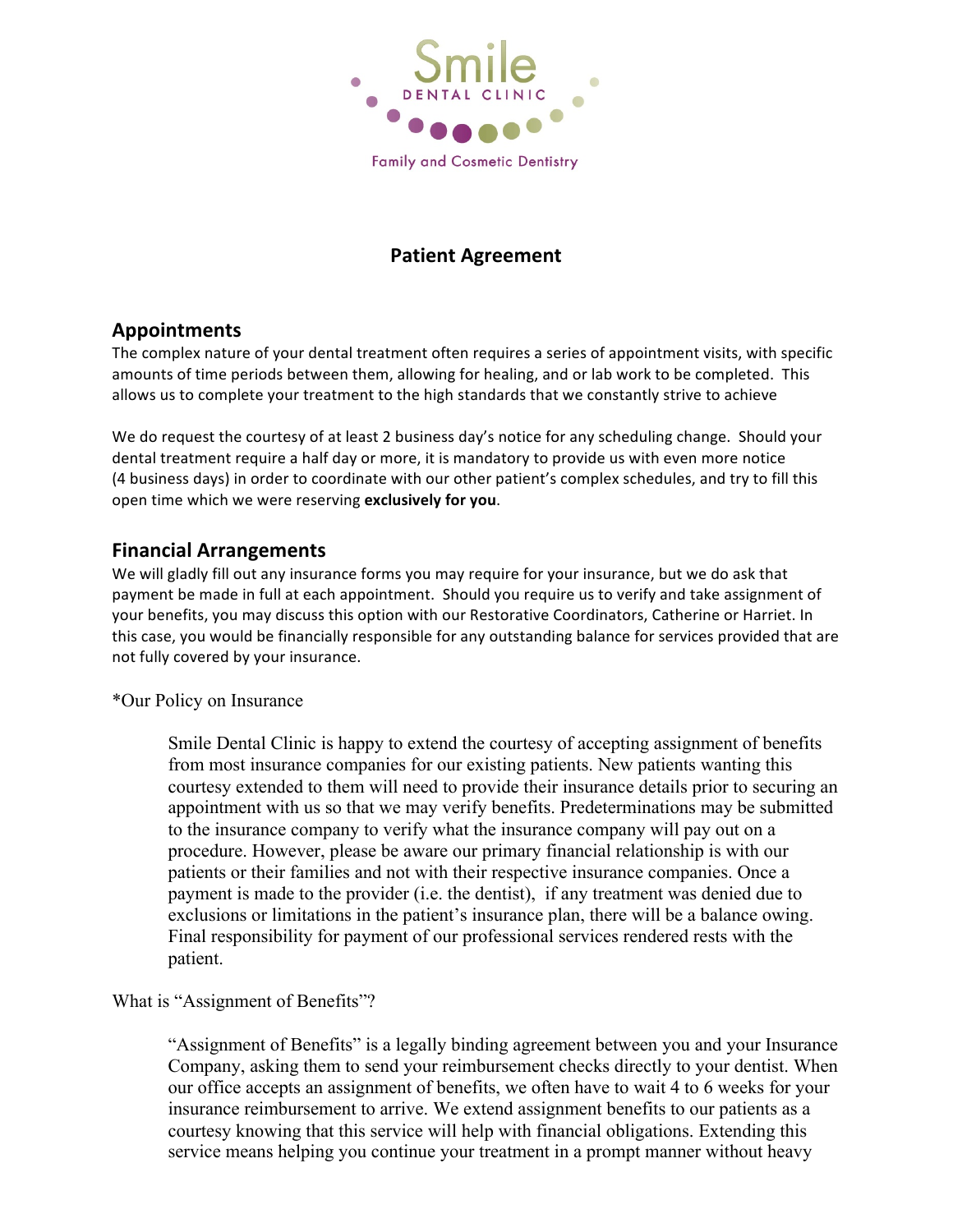

# **Patient Agreement**

## **Appointments**

The complex nature of your dental treatment often requires a series of appointment visits, with specific amounts of time periods between them, allowing for healing, and or lab work to be completed. This allows us to complete your treatment to the high standards that we constantly strive to achieve

We do request the courtesy of at least 2 business day's notice for any scheduling change. Should your dental treatment require a half day or more, it is mandatory to provide us with even more notice (4 business days) in order to coordinate with our other patient's complex schedules, and try to fill this open time which we were reserving exclusively for you.

## **Financial!Arrangements**

We will gladly fill out any insurance forms you may require for your insurance, but we do ask that payment be made in full at each appointment. Should you require us to verify and take assignment of your benefits, you may discuss this option with our Restorative Coordinators, Catherine or Harriet. In this case, you would be financially responsible for any outstanding balance for services provided that are not fully covered by your insurance.

\*Our Policy on Insurance

Smile Dental Clinic is happy to extend the courtesy of accepting assignment of benefits from most insurance companies for our existing patients. New patients wanting this courtesy extended to them will need to provide their insurance details prior to securing an appointment with us so that we may verify benefits. Predeterminations may be submitted to the insurance company to verify what the insurance company will pay out on a procedure. However, please be aware our primary financial relationship is with our patients or their families and not with their respective insurance companies. Once a payment is made to the provider (i.e. the dentist), if any treatment was denied due to exclusions or limitations in the patient's insurance plan, there will be a balance owing. Final responsibility for payment of our professional services rendered rests with the patient.

#### What is "Assignment of Benefits"?

"Assignment of Benefits" is a legally binding agreement between you and your Insurance Company, asking them to send your reimbursement checks directly to your dentist. When our office accepts an assignment of benefits, we often have to wait 4 to 6 weeks for your insurance reimbursement to arrive. We extend assignment benefits to our patients as a courtesy knowing that this service will help with financial obligations. Extending this service means helping you continue your treatment in a prompt manner without heavy